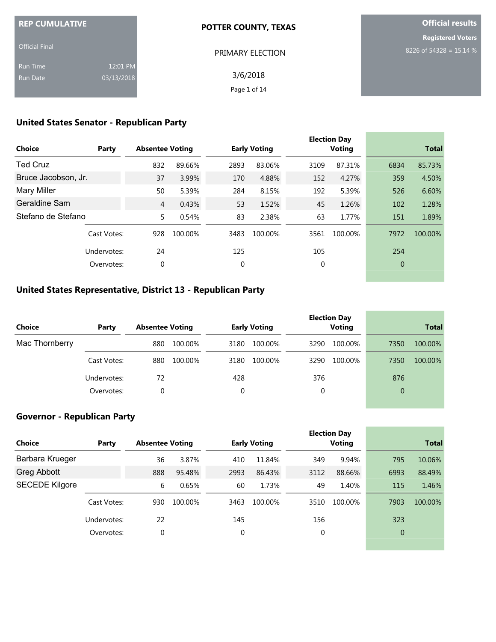| <b>REP CUMULATIVE</b> |            | <b>POTTER COUNTY, TEXAS</b> | <b>Official results</b>  |  |  |
|-----------------------|------------|-----------------------------|--------------------------|--|--|
|                       |            |                             | <b>Registered Voters</b> |  |  |
| <b>Official Final</b> |            | PRIMARY ELECTION            | 8226 of 54328 = 15.14 %  |  |  |
| <b>Run Time</b>       | 12:01 PM   |                             |                          |  |  |
| Run Date              | 03/13/2018 | 3/6/2018                    |                          |  |  |
|                       |            | Page 1 of 14                |                          |  |  |

# **United States Senator - Republican Party**

| <b>Choice</b>       | Party       | <b>Absentee Voting</b> |         |             | <b>Early Voting</b> |      | <b>Election Day</b><br><b>Voting</b> |              | <b>Total</b> |
|---------------------|-------------|------------------------|---------|-------------|---------------------|------|--------------------------------------|--------------|--------------|
| <b>Ted Cruz</b>     |             | 832                    | 89.66%  | 2893        | 83.06%              | 3109 | 87.31%                               | 6834         | 85.73%       |
| Bruce Jacobson, Jr. |             | 37                     | 3.99%   | 170         | 4.88%               | 152  | 4.27%                                | 359          | 4.50%        |
| <b>Mary Miller</b>  |             | 50                     | 5.39%   | 284         | 8.15%               | 192  | 5.39%                                | 526          | 6.60%        |
| Geraldine Sam       |             | $\overline{4}$         | 0.43%   | 53          | 1.52%               | 45   | 1.26%                                | 102          | 1.28%        |
| Stefano de Stefano  |             | 5                      | 0.54%   | 83          | 2.38%               | 63   | 1.77%                                | 151          | 1.89%        |
|                     | Cast Votes: | 928                    | 100.00% | 3483        | 100.00%             | 3561 | 100.00%                              | 7972         | 100.00%      |
|                     | Undervotes: | 24                     |         | 125         |                     | 105  |                                      | 254          |              |
|                     | Overvotes:  | 0                      |         | $\mathbf 0$ |                     | 0    |                                      | $\mathbf{0}$ |              |

### **United States Representative, District 13 - Republican Party**

| Choice         | Party       | <b>Absentee Voting</b> |         |      | <b>Early Voting</b> |      | <b>Election Day</b><br><b>Voting</b> |                | <b>Total</b> |
|----------------|-------------|------------------------|---------|------|---------------------|------|--------------------------------------|----------------|--------------|
| Mac Thornberry |             | 880                    | 100.00% | 3180 | 100.00%             | 3290 | 100.00%                              | 7350           | 100.00%      |
|                | Cast Votes: | 880                    | 100.00% | 3180 | 100.00%             | 3290 | 100.00%                              | 7350           | 100.00%      |
|                | Undervotes: | 72                     |         | 428  |                     | 376  |                                      | 876            |              |
|                | Overvotes:  | 0                      |         | 0    |                     | 0    |                                      | $\overline{0}$ |              |

### **Governor - Republican Party**

| Party       | <b>Absentee Voting</b> |         |             | <b>Early Voting</b> |      | <b>Voting</b> | <b>Total</b>        |         |
|-------------|------------------------|---------|-------------|---------------------|------|---------------|---------------------|---------|
|             | 36                     | 3.87%   | 410         | 11.84%              | 349  | 9.94%         | 795                 | 10.06%  |
|             | 888                    | 95.48%  | 2993        | 86.43%              | 3112 | 88.66%        | 6993                | 88.49%  |
|             | 6                      | 0.65%   | 60          | 1.73%               | 49   | 1.40%         | 115                 | 1.46%   |
| Cast Votes: | 930                    | 100.00% | 3463        | 100.00%             | 3510 | 100.00%       | 7903                | 100.00% |
| Undervotes: | 22                     |         | 145         |                     | 156  |               | 323                 |         |
| Overvotes:  | 0                      |         | $\mathbf 0$ |                     | 0    |               | $\overline{0}$      |         |
|             |                        |         |             |                     |      |               | <b>Election Day</b> |         |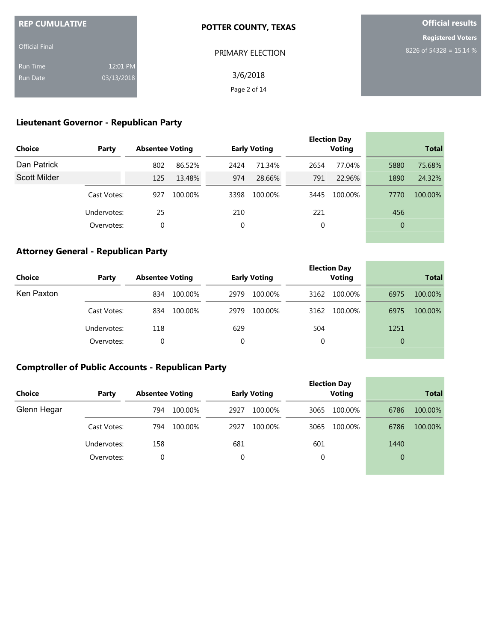| <b>REP CUMULATIVE</b> |            | <b>POTTER COUNTY, TEXAS</b> | <b>Official results</b>  |
|-----------------------|------------|-----------------------------|--------------------------|
|                       |            |                             | <b>Registered Voters</b> |
| <b>Official Final</b> |            | <b>PRIMARY ELECTION</b>     | 8226 of 54328 = 15.14 %  |
| <b>Run Time</b>       | 12:01 PM   |                             |                          |
| Run Date              | 03/13/2018 | 3/6/2018                    |                          |
|                       |            | Page 2 of 14                |                          |

# **Lieutenant Governor - Republican Party**

| <b>Choice</b> | Party       | <b>Absentee Voting</b> |         |      | <b>Early Voting</b> |      | <b>Election Day</b><br><b>Voting</b> |                | <b>Total</b> |
|---------------|-------------|------------------------|---------|------|---------------------|------|--------------------------------------|----------------|--------------|
| Dan Patrick   |             | 802                    | 86.52%  | 2424 | 71.34%              | 2654 | 77.04%                               | 5880           | 75.68%       |
| Scott Milder  |             | 125                    | 13.48%  | 974  | 28.66%              | 791  | 22.96%                               | 1890           | 24.32%       |
|               | Cast Votes: | 927                    | 100.00% | 3398 | 100.00%             | 3445 | 100.00%                              | 7770           | 100.00%      |
|               | Undervotes: | 25                     |         | 210  |                     | 221  |                                      | 456            |              |
|               | Overvotes:  | 0                      |         | 0    |                     | 0    |                                      | $\overline{0}$ |              |
|               |             |                        |         |      |                     |      |                                      |                |              |

### **Attorney General - Republican Party**

| Choice     | Party       | <b>Absentee Voting</b> | <b>Early Voting</b> | <b>Election Day</b><br><b>Voting</b> | <b>Total</b>    |
|------------|-------------|------------------------|---------------------|--------------------------------------|-----------------|
| Ken Paxton |             | 100.00%<br>834         | 2979<br>100.00%     | 100.00%<br>3162                      | 6975<br>100.00% |
|            | Cast Votes: | 100.00%<br>834         | 100.00%<br>2979     | 100.00%<br>3162                      | 6975<br>100.00% |
|            | Undervotes: | 118                    | 629                 | 504                                  | 1251            |
|            | Overvotes:  | 0                      | 0                   | 0                                    | $\overline{0}$  |

the control of the control of the control of the

**College** 

### **Comptroller of Public Accounts - Republican Party**

|               |             |                        |                     | <b>Election Day</b> |                 |  |
|---------------|-------------|------------------------|---------------------|---------------------|-----------------|--|
| <b>Choice</b> | Party       | <b>Absentee Voting</b> | <b>Early Voting</b> | <b>Voting</b>       | <b>Total</b>    |  |
| Glenn Hegar   |             | 100.00%<br>794         | 2927<br>100.00%     | 3065<br>100.00%     | 6786<br>100.00% |  |
|               | Cast Votes: | 100.00%<br>794         | 100.00%<br>2927     | 100.00%<br>3065     | 6786<br>100.00% |  |
|               | Undervotes: | 158                    | 681                 | 601                 | 1440            |  |
|               | Overvotes:  | 0                      | 0                   | 0                   | $\overline{0}$  |  |
|               |             |                        |                     |                     |                 |  |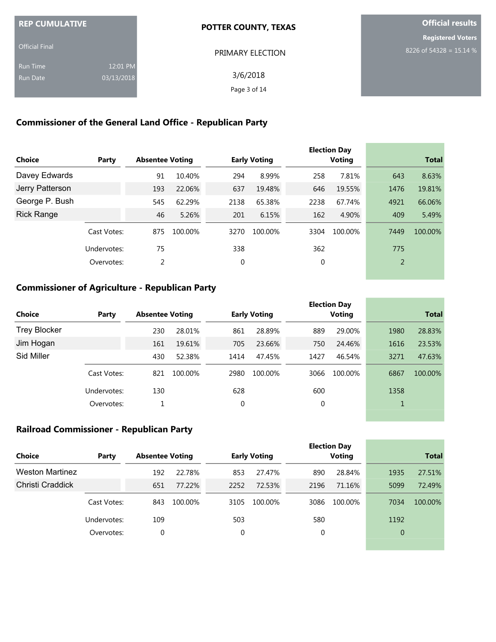| <b>REP CUMULATIVE</b> |            | POTTER COUNTY, TEXAS | <b>Official results</b>  |
|-----------------------|------------|----------------------|--------------------------|
|                       |            |                      | <b>Registered Voters</b> |
| <b>Official Final</b> |            | PRIMARY ELECTION     | 8226 of 54328 = 15.14 %  |
| <b>Run Time</b>       | 12:01 PM   |                      |                          |
| <b>Run Date</b>       | 03/13/2018 | 3/6/2018             |                          |
|                       |            | Page 3 of 14         |                          |
|                       |            |                      |                          |

# **Commissioner of the General Land Office - Republican Party**

| <b>Choice</b>     | Party       | <b>Absentee Voting</b> |         |             | <b>Early Voting</b> |      | <b>Election Day</b><br>Voting |                | <b>Total</b> |
|-------------------|-------------|------------------------|---------|-------------|---------------------|------|-------------------------------|----------------|--------------|
| Davey Edwards     |             | 91                     | 10.40%  | 294         | 8.99%               | 258  | 7.81%                         | 643            | 8.63%        |
| Jerry Patterson   |             | 193                    | 22.06%  | 637         | 19.48%              | 646  | 19.55%                        | 1476           | 19.81%       |
| George P. Bush    |             | 545                    | 62.29%  | 2138        | 65.38%              | 2238 | 67.74%                        | 4921           | 66.06%       |
| <b>Rick Range</b> |             | 46                     | 5.26%   | 201         | 6.15%               | 162  | 4.90%                         | 409            | 5.49%        |
|                   | Cast Votes: | 875                    | 100.00% | 3270        | 100.00%             | 3304 | 100.00%                       | 7449           | 100.00%      |
|                   | Undervotes: | 75                     |         | 338         |                     | 362  |                               | 775            |              |
|                   | Overvotes:  | 2                      |         | $\mathbf 0$ |                     | 0    |                               | $\overline{2}$ |              |

# **Commissioner of Agriculture - Republican Party**

|                     |             |                        |         |      |                     |      | <b>Election Day</b> |              |         |
|---------------------|-------------|------------------------|---------|------|---------------------|------|---------------------|--------------|---------|
| Choice              | Party       | <b>Absentee Voting</b> |         |      | <b>Early Voting</b> |      | <b>Voting</b>       | <b>Total</b> |         |
| <b>Trey Blocker</b> |             | 230                    | 28.01%  | 861  | 28.89%              | 889  | 29.00%              | 1980         | 28.83%  |
| Jim Hogan           |             | 161                    | 19.61%  | 705  | 23.66%              | 750  | 24.46%              | 1616         | 23.53%  |
| Sid Miller          |             | 430                    | 52.38%  | 1414 | 47.45%              | 1427 | 46.54%              | 3271         | 47.63%  |
|                     | Cast Votes: | 821                    | 100.00% | 2980 | 100.00%             | 3066 | 100.00%             | 6867         | 100.00% |
|                     | Undervotes: | 130                    |         | 628  |                     | 600  |                     | 1358         |         |
|                     | Overvotes:  |                        |         | 0    |                     | 0    |                     |              |         |

# **Railroad Commissioner - Republican Party**

|                        |             |                        |         |      |                     |      | <b>Election Day</b> |                |         |
|------------------------|-------------|------------------------|---------|------|---------------------|------|---------------------|----------------|---------|
| <b>Choice</b>          | Party       | <b>Absentee Voting</b> |         |      | <b>Early Voting</b> |      | <b>Voting</b>       | <b>Total</b>   |         |
| <b>Weston Martinez</b> |             | 192                    | 22.78%  | 853  | 27.47%              | 890  | 28.84%              | 1935           | 27.51%  |
| Christi Craddick       |             | 651                    | 77.22%  | 2252 | 72.53%              | 2196 | 71.16%              | 5099           | 72.49%  |
|                        | Cast Votes: | 843                    | 100.00% | 3105 | 100.00%             | 3086 | 100.00%             | 7034           | 100.00% |
|                        | Undervotes: | 109                    |         | 503  |                     | 580  |                     | 1192           |         |
|                        | Overvotes:  | 0                      |         | 0    |                     | 0    |                     | $\overline{0}$ |         |
|                        |             |                        |         |      |                     |      |                     |                |         |

and the control of the control of the control of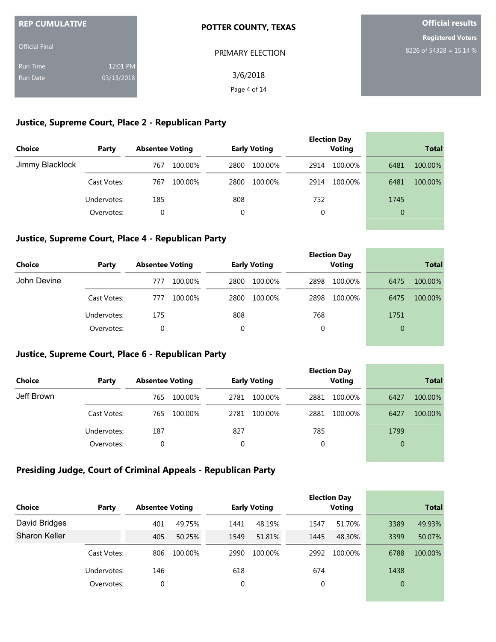| <b>REP CUMULATIVE</b> |            | <b>POTTER COUNTY, TEXAS</b> | <b>Official results</b>  |  |  |
|-----------------------|------------|-----------------------------|--------------------------|--|--|
|                       |            |                             | <b>Registered Voters</b> |  |  |
| <b>Official Final</b> |            | PRIMARY ELECTION            | 8226 of 54328 = 15.14 %  |  |  |
| <b>Run Time</b>       | 12:01 PM   |                             |                          |  |  |
| <b>Run Date</b>       | 03/13/2018 | 3/6/2018                    |                          |  |  |
|                       |            | Page 4 of 14                |                          |  |  |

#### **Justice, Supreme Court, Place 2 - Republican Party**

| Choice          | Party       | <b>Absentee Voting</b> | <b>Early Voting</b> | <b>Election Day</b><br><b>Voting</b> | <b>Total</b>    |
|-----------------|-------------|------------------------|---------------------|--------------------------------------|-----------------|
| Jimmy Blacklock |             | 100.00%<br>767         | 100.00%<br>2800     | 100.00%<br>2914                      | 100.00%<br>6481 |
|                 | Cast Votes: | 100.00%<br>767         | 100.00%<br>2800     | 100.00%<br>2914                      | 6481<br>100.00% |
|                 | Undervotes: | 185                    | 808                 | 752                                  | 1745            |
|                 | Overvotes:  | 0                      | 0                   | 0                                    | $\overline{0}$  |

#### **Justice, Supreme Court, Place 4 - Republican Party**

| <b>Choice</b> | Party       | <b>Absentee Voting</b> | <b>Early Voting</b> | <b>Election Day</b><br><b>Voting</b> | <b>Total</b>    |  |
|---------------|-------------|------------------------|---------------------|--------------------------------------|-----------------|--|
| John Devine   |             | 100.00%<br>777         | 2800<br>100.00%     | 2898<br>100.00%                      | 6475<br>100.00% |  |
|               | Cast Votes: | 100.00%<br>777         | 2800<br>100.00%     | 100.00%<br>2898                      | 6475<br>100.00% |  |
|               | Undervotes: | 175                    | 808                 | 768                                  | 1751            |  |
|               | Overvotes:  | $\Omega$               |                     | 0                                    | $\overline{0}$  |  |

and the control of the control of the control of the control of the control of the control of the control of the

#### **Justice, Supreme Court, Place 6 - Republican Party**

|               |             |                        |                     | <b>Election Day</b> |                 |
|---------------|-------------|------------------------|---------------------|---------------------|-----------------|
| <b>Choice</b> | Party       | <b>Absentee Voting</b> | <b>Early Voting</b> | <b>Voting</b>       | <b>Total</b>    |
| Jeff Brown    |             | 765<br>100.00%         | 2781<br>100.00%     | 2881<br>100.00%     | 6427<br>100.00% |
|               | Cast Votes: | 100.00%<br>765         | 100.00%<br>2781     | 2881<br>100.00%     | 6427<br>100.00% |
|               | Undervotes: | 187                    | 827                 | 785                 | 1799            |
|               | Overvotes:  | 0                      | 0                   | 0                   | $\overline{0}$  |
|               |             |                        |                     |                     |                 |

### **Presiding Judge, Court of Criminal Appeals - Republican Party**

| <b>Choice</b>        | Party       | <b>Absentee Voting</b> |         |      | <b>Early Voting</b> |      | <b>Election Day</b><br><b>Voting</b> |          | <b>Total</b> |
|----------------------|-------------|------------------------|---------|------|---------------------|------|--------------------------------------|----------|--------------|
| David Bridges        |             | 401                    | 49.75%  | 1441 | 48.19%              | 1547 | 51.70%                               | 3389     | 49.93%       |
| <b>Sharon Keller</b> |             | 405                    | 50.25%  | 1549 | 51.81%              | 1445 | 48.30%                               | 3399     | 50.07%       |
|                      | Cast Votes: | 806                    | 100.00% | 2990 | 100.00%             | 2992 | 100.00%                              | 6788     | 100.00%      |
|                      | Undervotes: | 146                    |         | 618  |                     | 674  |                                      | 1438     |              |
|                      | Overvotes:  | 0                      |         | 0    |                     | 0    |                                      | $\Omega$ |              |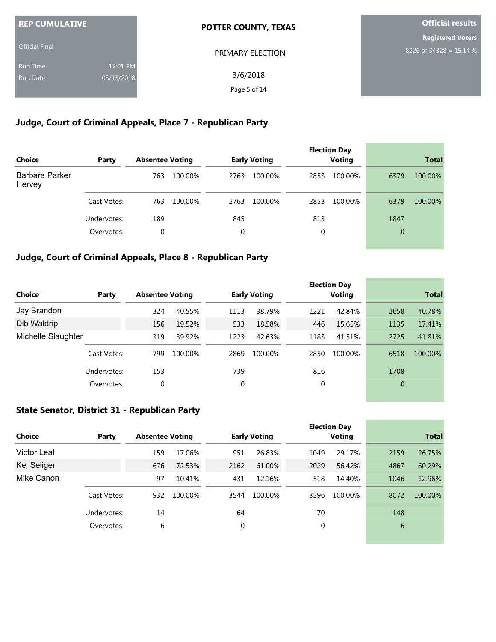| <b>REP CUMULATIVE</b> |            | <b>POTTER COUNTY, TEXAS</b> | <b>Official results</b>  |  |  |
|-----------------------|------------|-----------------------------|--------------------------|--|--|
|                       |            |                             | <b>Registered Voters</b> |  |  |
| <b>Official Final</b> |            | PRIMARY ELECTION            | 8226 of 54328 = 15.14 %  |  |  |
| <b>Run Time</b>       | 12:01 PM   |                             |                          |  |  |
| Run Date              | 03/13/2018 | 3/6/2018                    |                          |  |  |
|                       |            | Page 5 of 14                |                          |  |  |

# **Judge, Court of Criminal Appeals, Place 7 - Republican Party**

| Choice                   | Party       | <b>Absentee Voting</b> |         |      | <b>Early Voting</b> |      | <b>Election Day</b><br><b>Voting</b> |                | <b>Total</b> |
|--------------------------|-------------|------------------------|---------|------|---------------------|------|--------------------------------------|----------------|--------------|
| Barbara Parker<br>Hervey |             | 763                    | 100.00% | 2763 | 100.00%             | 2853 | 100.00%                              | 6379           | 100.00%      |
|                          | Cast Votes: | 763                    | 100.00% | 2763 | 100.00%             | 2853 | 100.00%                              | 6379           | 100.00%      |
|                          | Undervotes: | 189                    |         | 845  |                     | 813  |                                      | 1847           |              |
|                          | Overvotes:  | 0                      |         | 0    |                     | 0    |                                      | $\overline{0}$ |              |

### **Judge, Court of Criminal Appeals, Place 8 - Republican Party**

|                    |             |                        |         |      |                     |      | <b>Election Day</b> |                |              |
|--------------------|-------------|------------------------|---------|------|---------------------|------|---------------------|----------------|--------------|
| <b>Choice</b>      | Party       | <b>Absentee Voting</b> |         |      | <b>Early Voting</b> |      | Voting              |                | <b>Total</b> |
| Jay Brandon        |             | 324                    | 40.55%  | 1113 | 38.79%              | 1221 | 42.84%              | 2658           | 40.78%       |
| Dib Waldrip        |             | 156                    | 19.52%  | 533  | 18.58%              | 446  | 15.65%              | 1135           | 17.41%       |
| Michelle Slaughter |             | 319                    | 39.92%  | 1223 | 42.63%              | 1183 | 41.51%              | 2725           | 41.81%       |
|                    | Cast Votes: | 799                    | 100.00% | 2869 | 100.00%             | 2850 | 100.00%             | 6518           | 100.00%      |
|                    | Undervotes: | 153                    |         | 739  |                     | 816  |                     | 1708           |              |
|                    | Overvotes:  | 0                      |         | 0    |                     | 0    |                     | $\overline{0}$ |              |

### **State Senator, District 31 - Republican Party**

| Choice             | Party       | <b>Absentee Voting</b> |         |      | <b>Early Voting</b> |      | <b>Election Day</b><br>Voting |      | <b>Total</b> |
|--------------------|-------------|------------------------|---------|------|---------------------|------|-------------------------------|------|--------------|
| Victor Leal        |             | 159                    | 17.06%  | 951  | 26.83%              | 1049 | 29.17%                        | 2159 | 26.75%       |
| <b>Kel Seliger</b> |             | 676                    | 72.53%  | 2162 | 61.00%              | 2029 | 56.42%                        | 4867 | 60.29%       |
| Mike Canon         |             | 97                     | 10.41%  | 431  | 12.16%              | 518  | 14.40%                        | 1046 | 12.96%       |
|                    | Cast Votes: | 932                    | 100.00% | 3544 | 100.00%             | 3596 | 100.00%                       | 8072 | 100.00%      |
|                    | Undervotes: | 14                     |         | 64   |                     | 70   |                               | 148  |              |
|                    | Overvotes:  | 6                      |         | 0    |                     | 0    |                               | 6    |              |
|                    |             |                        |         |      |                     |      |                               |      |              |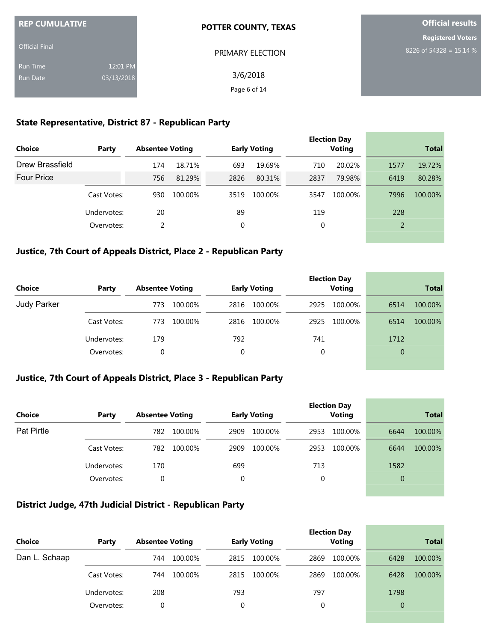| <b>REP CUMULATIVE</b> |            | <b>POTTER COUNTY, TEXAS</b> | <b>Official results</b>  |  |  |
|-----------------------|------------|-----------------------------|--------------------------|--|--|
|                       |            |                             | <b>Registered Voters</b> |  |  |
| <b>Official Final</b> |            | PRIMARY ELECTION            | 8226 of 54328 = 15.14 %  |  |  |
| <b>Run Time</b>       | 12:01 PM   |                             |                          |  |  |
| Run Date              | 03/13/2018 | 3/6/2018                    |                          |  |  |
|                       |            | Page 6 of 14                |                          |  |  |

#### **State Representative, District 87 - Republican Party**

| <b>Choice</b>     | Party       | <b>Absentee Voting</b> |         |      | <b>Early Voting</b> |      | <b>Election Day</b><br><b>Voting</b> |                | <b>Total</b> |
|-------------------|-------------|------------------------|---------|------|---------------------|------|--------------------------------------|----------------|--------------|
| Drew Brassfield   |             | 174                    | 18.71%  | 693  | 19.69%              | 710  | 20.02%                               | 1577           | 19.72%       |
| <b>Four Price</b> |             | 756                    | 81.29%  | 2826 | 80.31%              | 2837 | 79.98%                               | 6419           | 80.28%       |
|                   | Cast Votes: | 930                    | 100.00% | 3519 | 100.00%             | 3547 | 100.00%                              | 7996           | 100.00%      |
|                   | Undervotes: | 20                     |         | 89   |                     | 119  |                                      | 228            |              |
|                   | Overvotes:  | 2                      |         | 0    |                     | 0    |                                      | $\overline{2}$ |              |
|                   |             |                        |         |      |                     |      |                                      |                |              |

### **Justice, 7th Court of Appeals District, Place 2 - Republican Party**

| <b>Choice</b> | Party       | <b>Absentee Voting</b> | <b>Early Voting</b> | <b>Election Day</b><br><b>Voting</b> | <b>Total</b>    |
|---------------|-------------|------------------------|---------------------|--------------------------------------|-----------------|
| Judy Parker   |             | 100.00%<br>773         | 100.00%<br>2816     | 2925<br>100.00%                      | 6514<br>100.00% |
|               | Cast Votes: | 100.00%<br>773         | 100.00%<br>2816     | 100.00%<br>2925                      | 6514<br>100.00% |
|               | Undervotes: | 179                    | 792                 | 741                                  | 1712            |
|               | Overvotes:  | 0                      | 0                   | 0                                    | $\overline{0}$  |

### **Justice, 7th Court of Appeals District, Place 3 - Republican Party**

| Choice     | Party       | <b>Absentee Voting</b> | <b>Early Voting</b> | <b>Election Day</b><br><b>Voting</b> | <b>Total</b>    |  |
|------------|-------------|------------------------|---------------------|--------------------------------------|-----------------|--|
| Pat Pirtle |             | 100.00%<br>782         | 2909<br>100.00%     | 100.00%<br>2953                      | 100.00%<br>6644 |  |
|            | Cast Votes: | 782<br>100.00%         | 100.00%<br>2909     | 100.00%<br>2953                      | 100.00%<br>6644 |  |
|            | Undervotes: | 170                    | 699                 | 713                                  | 1582            |  |
|            | Overvotes:  | 0                      | 0                   | 0                                    | $\overline{0}$  |  |

#### **District Judge, 47th Judicial District - Republican Party**

| <b>Choice</b> | Party       | <b>Absentee Voting</b> |                 | <b>Early Voting</b> |      | <b>Election Day</b><br><b>Voting</b> |                | <b>Total</b> |
|---------------|-------------|------------------------|-----------------|---------------------|------|--------------------------------------|----------------|--------------|
| Dan L. Schaap |             | 744                    | 100.00%<br>2815 | 100.00%             | 2869 | 100.00%                              | 6428           | 100.00%      |
|               | Cast Votes: | 744                    | 100.00%<br>2815 | 100.00%             | 2869 | 100.00%                              | 6428           | 100.00%      |
|               | Undervotes: | 208                    | 793             |                     | 797  |                                      | 1798           |              |
|               | Overvotes:  | 0                      |                 |                     | 0    |                                      | $\overline{0}$ |              |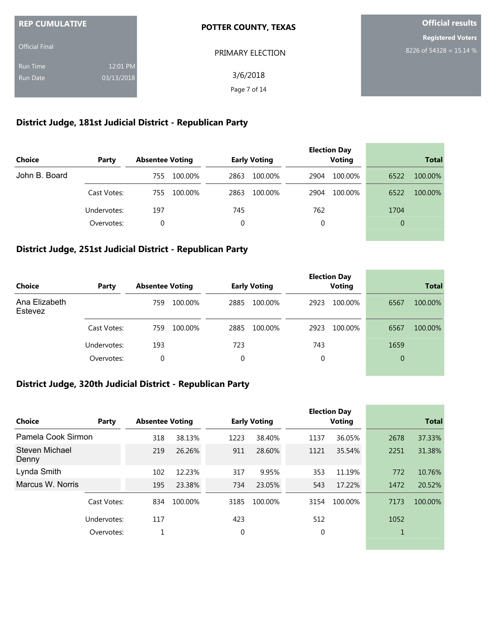| <b>REP CUMULATIVE</b> |            | <b>POTTER COUNTY, TEXAS</b> | <b>Official results</b>   |
|-----------------------|------------|-----------------------------|---------------------------|
|                       |            |                             | <b>Registered Voters</b>  |
| <b>Official Final</b> |            | PRIMARY ELECTION            | $8226$ of 54328 = 15.14 % |
| <b>Run Time</b>       | 12:01 PM   |                             |                           |
| <b>Run Date</b>       | 03/13/2018 | 3/6/2018                    |                           |
|                       |            | Page 7 of 14                |                           |

# **District Judge, 181st Judicial District - Republican Party**

| <b>Choice</b> | Party       | <b>Absentee Voting</b> | <b>Early Voting</b> | <b>Election Day</b><br><b>Voting</b> | <b>Total</b>    |
|---------------|-------------|------------------------|---------------------|--------------------------------------|-----------------|
| John B. Board |             | 100.00%<br>755         | 2863<br>100.00%     | 100.00%<br>2904                      | 6522<br>100.00% |
|               | Cast Votes: | 100.00%<br>755         | 2863<br>100.00%     | 100.00%<br>2904                      | 6522<br>100.00% |
|               | Undervotes: | 197                    | 745                 | 762                                  | 1704            |
|               | Overvotes:  | 0                      | 0                   | 0                                    | $\overline{0}$  |
|               |             |                        |                     |                                      |                 |

### **District Judge, 251st Judicial District - Republican Party**

| Choice        | Party       | <b>Absentee Voting</b> | <b>Early Voting</b> | <b>Election Day</b><br><b>Voting</b> | <b>Total</b>    |
|---------------|-------------|------------------------|---------------------|--------------------------------------|-----------------|
| Ana Elizabeth |             | 100.00%                | 2885                | 100.00%                              | 100.00%         |
| Estevez       |             | 759                    | 100.00%             | 2923                                 | 6567            |
|               | Cast Votes: | 100.00%<br>759         | 2885<br>100.00%     | 2923<br>100.00%                      | 6567<br>100.00% |
|               | Undervotes: | 193                    | 723                 | 743                                  | 1659            |
|               | Overvotes:  | 0                      | 0                   | 0                                    | $\overline{0}$  |

# **District Judge, 320th Judicial District - Republican Party**

| <b>Choice</b>           | Party       | <b>Absentee Voting</b> |         |      | <b>Early Voting</b> |      | <b>Election Day</b><br><b>Voting</b> |      | <b>Total</b> |
|-------------------------|-------------|------------------------|---------|------|---------------------|------|--------------------------------------|------|--------------|
| Pamela Cook Sirmon      |             | 318                    | 38.13%  | 1223 | 38.40%              | 1137 | 36.05%                               | 2678 | 37.33%       |
| Steven Michael<br>Denny |             | 219                    | 26.26%  | 911  | 28.60%              | 1121 | 35.54%                               | 2251 | 31.38%       |
| Lynda Smith             |             | 102                    | 12.23%  | 317  | 9.95%               | 353  | 11.19%                               | 772  | 10.76%       |
| Marcus W. Norris        |             | 195                    | 23.38%  | 734  | 23.05%              | 543  | 17.22%                               | 1472 | 20.52%       |
|                         | Cast Votes: | 834                    | 100.00% | 3185 | 100.00%             | 3154 | 100.00%                              | 7173 | 100.00%      |
|                         | Undervotes: | 117                    |         | 423  |                     | 512  |                                      | 1052 |              |
|                         | Overvotes:  | 1                      |         | 0    |                     | 0    |                                      |      |              |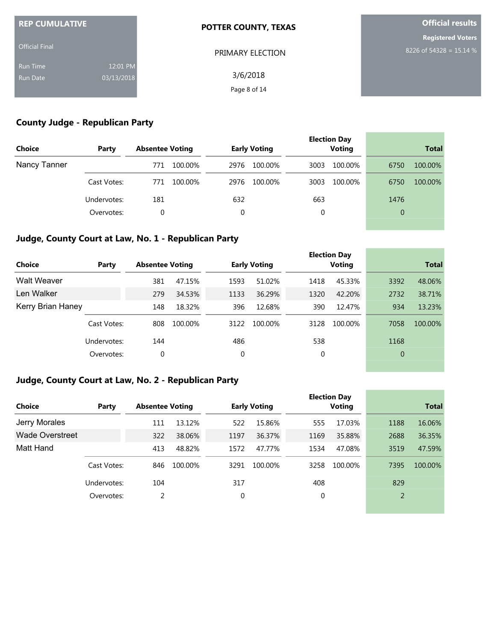| <b>REP CUMULATIVE</b> |            | <b>POTTER COUNTY, TEXAS</b> | <b>Official results</b>  |  |  |
|-----------------------|------------|-----------------------------|--------------------------|--|--|
| <b>Official Final</b> |            |                             | <b>Registered Voters</b> |  |  |
|                       |            | PRIMARY ELECTION            | 8226 of 54328 = 15.14 %  |  |  |
| <b>Run Time</b>       | 12:01 PM   |                             |                          |  |  |
| <b>Run Date</b>       | 03/13/2018 | 3/6/2018                    |                          |  |  |
|                       |            | Page 8 of 14                |                          |  |  |

# **County Judge - Republican Party**

| <b>Choice</b> | Party       | <b>Absentee Voting</b> | <b>Early Voting</b> | <b>Election Day</b><br><b>Voting</b> | <b>Total</b>    |
|---------------|-------------|------------------------|---------------------|--------------------------------------|-----------------|
| Nancy Tanner  |             | 100.00%<br>771         | 2976<br>100.00%     | 3003<br>100.00%                      | 100.00%<br>6750 |
|               | Cast Votes: | 100.00%<br>771         | 2976<br>100.00%     | 100.00%<br>3003                      | 6750<br>100.00% |
|               | Undervotes: | 181                    | 632                 | 663                                  | 1476            |
|               | Overvotes:  | 0                      | 0                   | 0                                    | $\overline{0}$  |

# **Judge, County Court at Law, No. 1 - Republican Party**

| <b>Choice</b>      | Party       | <b>Absentee Voting</b> |         |      | <b>Early Voting</b> |      | <b>Election Day</b><br>Voting |                | <b>Total</b> |
|--------------------|-------------|------------------------|---------|------|---------------------|------|-------------------------------|----------------|--------------|
| <b>Walt Weaver</b> |             | 381                    | 47.15%  | 1593 | 51.02%              | 1418 | 45.33%                        | 3392           | 48.06%       |
| Len Walker         |             | 279                    | 34.53%  | 1133 | 36.29%              | 1320 | 42.20%                        | 2732           | 38.71%       |
| Kerry Brian Haney  |             | 148                    | 18.32%  | 396  | 12.68%              | 390  | 12.47%                        | 934            | 13.23%       |
|                    | Cast Votes: | 808                    | 100.00% | 3122 | 100.00%             | 3128 | 100.00%                       | 7058           | 100.00%      |
|                    | Undervotes: | 144                    |         | 486  |                     | 538  |                               | 1168           |              |
|                    | Overvotes:  | 0                      |         | 0    |                     | 0    |                               | $\overline{0}$ |              |
|                    |             |                        |         |      |                     |      |                               |                |              |

and the control of the control of the

#### **Judge, County Court at Law, No. 2 - Republican Party**

| Choice                 | Party       | <b>Absentee Voting</b> |         |      | <b>Early Voting</b> |      | <b>Election Day</b><br>Voting |                | <b>Total</b> |
|------------------------|-------------|------------------------|---------|------|---------------------|------|-------------------------------|----------------|--------------|
| Jerry Morales          |             | 111                    | 13.12%  | 522  | 15.86%              | 555  | 17.03%                        | 1188           | 16.06%       |
| <b>Wade Overstreet</b> |             | 322                    | 38.06%  | 1197 | 36.37%              | 1169 | 35.88%                        | 2688           | 36.35%       |
| Matt Hand              |             | 413                    | 48.82%  | 1572 | 47.77%              | 1534 | 47.08%                        | 3519           | 47.59%       |
|                        | Cast Votes: | 846                    | 100.00% | 3291 | 100.00%             | 3258 | 100.00%                       | 7395           | 100.00%      |
|                        | Undervotes: | 104                    |         | 317  |                     | 408  |                               | 829            |              |
|                        | Overvotes:  | 2                      |         | 0    |                     | 0    |                               | $\overline{2}$ |              |
|                        |             |                        |         |      |                     |      |                               |                |              |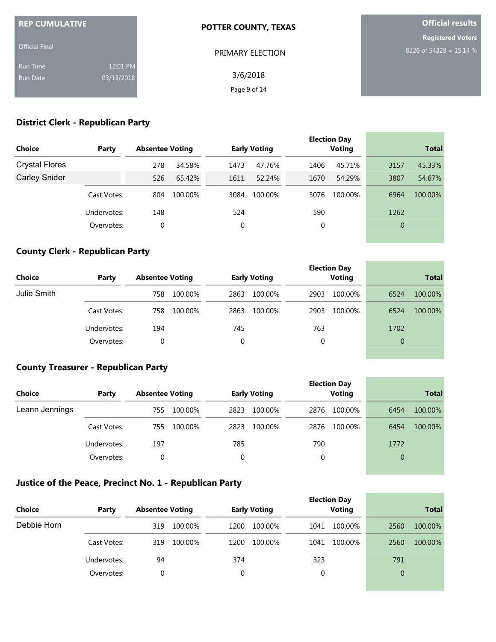| <b>REP CUMULATIVE</b> |            | <b>POTTER COUNTY, TEXAS</b> | <b>Official results</b>  |  |  |
|-----------------------|------------|-----------------------------|--------------------------|--|--|
|                       |            |                             | <b>Registered Voters</b> |  |  |
| <b>Official Final</b> |            | PRIMARY ELECTION            | 8226 of 54328 = 15.14 %  |  |  |
| <b>Run Time</b>       | 12:01 PM   |                             |                          |  |  |
| Run Date              | 03/13/2018 | 3/6/2018                    |                          |  |  |
|                       |            | Page 9 of 14                |                          |  |  |

# **District Clerk - Republican Party**

| <b>Choice</b>         | Party       | <b>Absentee Voting</b> |         |      | <b>Early Voting</b> |      | <b>Election Day</b><br><b>Voting</b> |                | <b>Total</b> |
|-----------------------|-------------|------------------------|---------|------|---------------------|------|--------------------------------------|----------------|--------------|
| <b>Crystal Flores</b> |             | 278                    | 34.58%  | 1473 | 47.76%              | 1406 | 45.71%                               | 3157           | 45.33%       |
| <b>Carley Snider</b>  |             | 526                    | 65.42%  | 1611 | 52.24%              | 1670 | 54.29%                               | 3807           | 54.67%       |
|                       | Cast Votes: | 804                    | 100.00% | 3084 | 100.00%             | 3076 | 100.00%                              | 6964           | 100.00%      |
|                       | Undervotes: | 148                    |         | 524  |                     | 590  |                                      | 1262           |              |
|                       | Overvotes:  | 0                      |         | 0    |                     | 0    |                                      | $\overline{0}$ |              |
|                       |             |                        |         |      |                     |      |                                      |                |              |

### **County Clerk - Republican Party**

| Choice      | Party       | <b>Absentee Voting</b> | <b>Early Voting</b> | <b>Election Day</b><br><b>Voting</b> | <b>Total</b>    |  |
|-------------|-------------|------------------------|---------------------|--------------------------------------|-----------------|--|
| Julie Smith |             | 758<br>100.00%         | 2863<br>100.00%     | 2903<br>100.00%                      | 6524<br>100.00% |  |
|             | Cast Votes: | 100.00%<br>758         | 100.00%<br>2863     | 2903<br>100.00%                      | 6524<br>100.00% |  |
|             | Undervotes: | 194                    | 745                 | 763                                  | 1702            |  |
|             | Overvotes:  | 0                      | 0                   | 0                                    | $\overline{0}$  |  |

the control of the control of the control of

and the control of the control of the

**COL** 

### **County Treasurer - Republican Party**

| Choice         | Party       | <b>Absentee Voting</b> | <b>Early Voting</b> | <b>Election Day</b><br><b>Voting</b> | <b>Total</b>    |  |
|----------------|-------------|------------------------|---------------------|--------------------------------------|-----------------|--|
| Leann Jennings |             | 100.00%<br>755         | 2823<br>100.00%     | 2876<br>100.00%                      | 6454<br>100.00% |  |
|                | Cast Votes: | 100.00%<br>755         | 2823<br>100.00%     | 2876<br>100.00%                      | 6454<br>100.00% |  |
|                | Undervotes: | 197                    | 785                 | 790                                  | 1772            |  |
|                | Overvotes:  | 0                      | 0                   |                                      | $\overline{0}$  |  |

### **Justice of the Peace, Precinct No. 1 - Republican Party**

| <b>Choice</b> | Party       | <b>Absentee Voting</b> | <b>Early Voting</b> | <b>Election Day</b><br><b>Voting</b> | <b>Total</b>    |
|---------------|-------------|------------------------|---------------------|--------------------------------------|-----------------|
| Debbie Horn   |             | 319<br>100.00%         | 100.00%<br>1200     | 100.00%<br>1041                      | 100.00%<br>2560 |
|               | Cast Votes: | 100.00%<br>319         | 100.00%<br>1200     | 100.00%<br>1041                      | 2560<br>100.00% |
|               | Undervotes: | 94                     | 374                 | 323                                  | 791             |
|               | Overvotes:  | 0                      | $\Omega$            | 0                                    | $\overline{0}$  |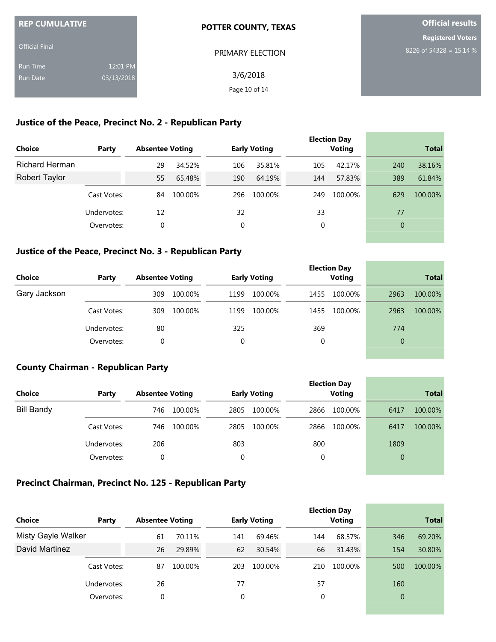| <b>REP CUMULATIVE</b> |            | <b>POTTER COUNTY, TEXAS</b> | <b>Official results</b>  |  |  |
|-----------------------|------------|-----------------------------|--------------------------|--|--|
|                       |            |                             | <b>Registered Voters</b> |  |  |
| <b>Official Final</b> |            | PRIMARY ELECTION            | 8226 of 54328 = 15.14 %  |  |  |
| <b>Run Time</b>       | 12:01 PM   |                             |                          |  |  |
| Run Date              | 03/13/2018 | 3/6/2018                    |                          |  |  |
|                       |            | Page 10 of 14               |                          |  |  |

### **Justice of the Peace, Precinct No. 2 - Republican Party**

| <b>Choice</b>         | Party       | <b>Absentee Voting</b> |         |     | <b>Early Voting</b> |     | <b>Election Day</b><br><b>Voting</b> |                | <b>Total</b> |
|-----------------------|-------------|------------------------|---------|-----|---------------------|-----|--------------------------------------|----------------|--------------|
| <b>Richard Herman</b> |             | 29                     | 34.52%  | 106 | 35.81%              | 105 | 42.17%                               | 240            | 38.16%       |
| <b>Robert Taylor</b>  |             | 55                     | 65.48%  | 190 | 64.19%              | 144 | 57.83%                               | 389            | 61.84%       |
|                       | Cast Votes: | 84                     | 100.00% | 296 | 100.00%             | 249 | 100.00%                              | 629            | 100.00%      |
|                       | Undervotes: | 12                     |         | 32  |                     | 33  |                                      | 77             |              |
|                       | Overvotes:  | 0                      |         | 0   |                     | 0   |                                      | $\overline{0}$ |              |
|                       |             |                        |         |     |                     |     |                                      |                |              |

### **Justice of the Peace, Precinct No. 3 - Republican Party**

| <b>Choice</b> | Party       | <b>Absentee Voting</b> |         |          | <b>Early Voting</b> |      | <b>Election Day</b><br><b>Voting</b> | <b>Total</b>   |         |
|---------------|-------------|------------------------|---------|----------|---------------------|------|--------------------------------------|----------------|---------|
|               |             |                        |         |          |                     |      |                                      |                |         |
| Gary Jackson  |             | 309                    | 100.00% | 1199     | 100.00%             | 1455 | 100.00%                              | 2963           | 100.00% |
|               | Cast Votes: | 309                    | 100.00% | 1199     | 100.00%             | 1455 | 100.00%                              | 2963           | 100.00% |
|               | Undervotes: | 80                     |         | 325      |                     | 369  |                                      | 774            |         |
|               | Overvotes:  |                        |         | $\Omega$ |                     | 0    |                                      | $\overline{0}$ |         |

### **County Chairman - Republican Party**

| <b>Choice</b>     | Party       | <b>Absentee Voting</b> |         |          | <b>Early Voting</b> |      | <b>Election Day</b><br><b>Voting</b> |      | <b>Total</b> |
|-------------------|-------------|------------------------|---------|----------|---------------------|------|--------------------------------------|------|--------------|
| <b>Bill Bandy</b> |             | 746                    | 100.00% | 2805     | 100.00%             | 2866 | 100.00%                              | 6417 | 100.00%      |
|                   | Cast Votes: | 746                    | 100.00% | 2805     | 100.00%             | 2866 | 100.00%                              | 6417 | 100.00%      |
|                   | Undervotes: | 206                    |         | 803      |                     | 800  |                                      | 1809 |              |
|                   | Overvotes:  |                        |         | $\Omega$ |                     | 0    |                                      | 0    |              |

and the control of the control of the

**College** 

### **Precinct Chairman, Precinct No. 125 - Republican Party**

| <b>Choice</b>             | Party       | <b>Absentee Voting</b> |         |     | <b>Early Voting</b> |     | <b>Election Day</b><br><b>Voting</b> |                | <b>Total</b> |
|---------------------------|-------------|------------------------|---------|-----|---------------------|-----|--------------------------------------|----------------|--------------|
| <b>Misty Gayle Walker</b> |             | 61                     | 70.11%  | 141 | 69.46%              | 144 | 68.57%                               | 346            | 69.20%       |
| David Martinez            |             | 26                     | 29.89%  | 62  | 30.54%              | 66  | 31.43%                               | 154            | 30.80%       |
|                           | Cast Votes: | 87                     | 100.00% | 203 | 100.00%             | 210 | 100.00%                              | 500            | 100.00%      |
|                           | Undervotes: | 26                     |         | 77  |                     | 57  |                                      | 160            |              |
|                           | Overvotes:  | $\mathbf 0$            |         | 0   |                     | 0   |                                      | $\overline{0}$ |              |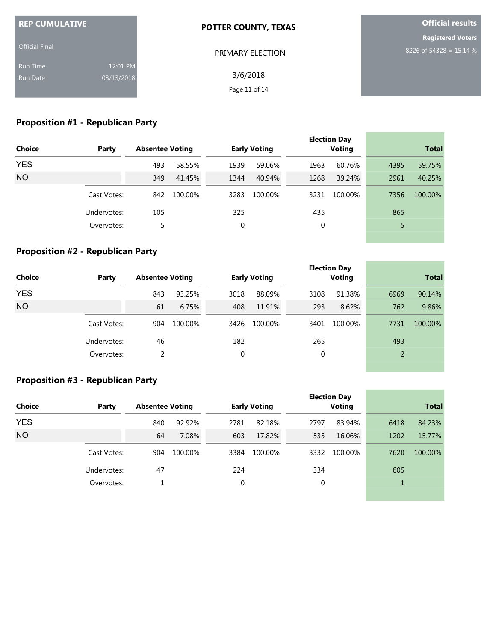| <b>REP CUMULATIVE</b> |            | <b>POTTER COUNTY, TEXAS</b> | <b>Official results</b>  |
|-----------------------|------------|-----------------------------|--------------------------|
|                       |            |                             | <b>Registered Voters</b> |
| <b>Official Final</b> |            | PRIMARY ELECTION            | 8226 of 54328 = 15.14 %  |
| <b>Run Time</b>       | 12:01 PM   |                             |                          |
| <b>Run Date</b>       | 03/13/2018 | 3/6/2018                    |                          |
|                       |            | Page 11 of 14               |                          |

# **Proposition #1 - Republican Party**

|               |             |                        |         |      |                     |             | <b>Election Day</b> |      | <b>Total</b> |
|---------------|-------------|------------------------|---------|------|---------------------|-------------|---------------------|------|--------------|
| <b>Choice</b> | Party       | <b>Absentee Voting</b> |         |      | <b>Early Voting</b> |             | <b>Voting</b>       |      |              |
| <b>YES</b>    |             | 493                    | 58.55%  | 1939 | 59.06%              | 1963        | 60.76%              | 4395 | 59.75%       |
| <b>NO</b>     |             | 349                    | 41.45%  | 1344 | 40.94%              | 1268        | 39.24%              | 2961 | 40.25%       |
|               | Cast Votes: | 842                    | 100.00% | 3283 | 100.00%             | 3231        | 100.00%             | 7356 | 100.00%      |
|               | Undervotes: | 105                    |         | 325  |                     | 435         |                     | 865  |              |
|               | Overvotes:  | 5                      |         | 0    |                     | $\mathbf 0$ |                     | 5    |              |
|               |             |                        |         |      |                     |             |                     |      |              |

### **Proposition #2 - Republican Party**

| <b>Choice</b><br>Party |             |     | <b>Absentee Voting</b> |      | <b>Early Voting</b> |             | <b>Election Day</b><br><b>Voting</b> | <b>Total</b> |         |
|------------------------|-------------|-----|------------------------|------|---------------------|-------------|--------------------------------------|--------------|---------|
| <b>YES</b>             |             | 843 | 93.25%                 | 3018 | 88.09%              | 3108        | 91.38%                               | 6969         | 90.14%  |
| <b>NO</b>              |             | 61  | 6.75%                  | 408  | 11.91%              | 293         | 8.62%                                | 762          | 9.86%   |
|                        | Cast Votes: | 904 | 100.00%                | 3426 | 100.00%             | 3401        | 100.00%                              | 7731         | 100.00% |
|                        | Undervotes: | 46  |                        | 182  |                     | 265         |                                      | 493          |         |
|                        | Overvotes:  | 2   |                        | 0    |                     | $\mathbf 0$ |                                      | 2            |         |
|                        |             |     |                        |      |                     |             |                                      |              |         |

and the control of the control of the

and the control of the control of the control of the control of the control of

### **Proposition #3 - Republican Party**

|               |             |     |                        |      |                     |      | <b>Election Day</b> |              |         |
|---------------|-------------|-----|------------------------|------|---------------------|------|---------------------|--------------|---------|
| <b>Choice</b> | Party       |     | <b>Absentee Voting</b> |      | <b>Early Voting</b> |      | <b>Voting</b>       | <b>Total</b> |         |
| <b>YES</b>    |             | 840 | 92.92%                 | 2781 | 82.18%              | 2797 | 83.94%              | 6418         | 84.23%  |
| <b>NO</b>     |             | 64  | 7.08%                  | 603  | 17.82%              | 535  | 16.06%              | 1202         | 15.77%  |
|               | Cast Votes: | 904 | 100.00%                | 3384 | 100.00%             | 3332 | 100.00%             | 7620         | 100.00% |
|               | Undervotes: | 47  |                        | 224  |                     | 334  |                     | 605          |         |
|               | Overvotes:  |     |                        | 0    |                     | 0    |                     |              |         |
|               |             |     |                        |      |                     |      |                     |              |         |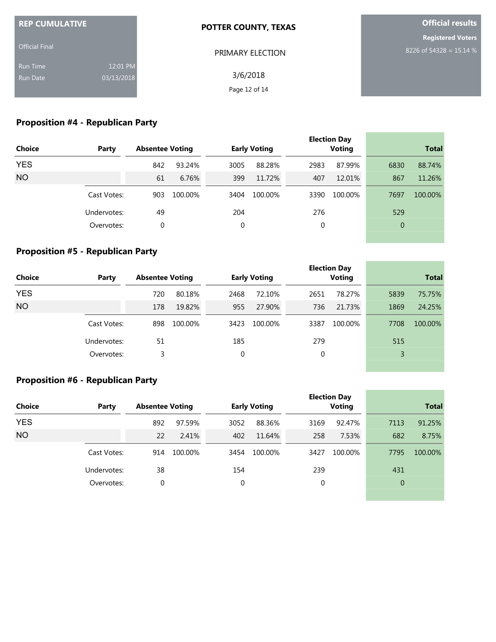| <b>REP CUMULATIVE</b> |            | <b>POTTER COUNTY, TEXAS</b> | <b>Official results</b>  |
|-----------------------|------------|-----------------------------|--------------------------|
|                       |            |                             | <b>Registered Voters</b> |
| <b>Official Final</b> |            | PRIMARY ELECTION            | 8226 of 54328 = 15.14 %  |
| <b>Run Time</b>       | 12:01 PM   |                             |                          |
| <b>Run Date</b>       | 03/13/2018 | 3/6/2018                    |                          |
|                       |            | Page 12 of 14               |                          |

# **Proposition #4 - Republican Party**

| <b>Choice</b> | Party       | <b>Absentee Voting</b> |         | <b>Early Voting</b> |         |             | <b>Election Day</b><br><b>Voting</b> |                | <b>Total</b> |
|---------------|-------------|------------------------|---------|---------------------|---------|-------------|--------------------------------------|----------------|--------------|
| <b>YES</b>    |             | 842                    | 93.24%  | 3005                | 88.28%  | 2983        | 87.99%                               | 6830           | 88.74%       |
| <b>NO</b>     |             | 61                     | 6.76%   | 399                 | 11.72%  | 407         | 12.01%                               | 867            | 11.26%       |
|               | Cast Votes: | 903                    | 100.00% | 3404                | 100.00% | 3390        | 100.00%                              | 7697           | 100.00%      |
|               | Undervotes: | 49                     |         | 204                 |         | 276         |                                      | 529            |              |
|               | Overvotes:  | 0                      |         | 0                   |         | $\mathbf 0$ |                                      | $\overline{0}$ |              |
|               |             |                        |         |                     |         |             |                                      |                |              |

### **Proposition #5 - Republican Party**

| <b>Choice</b> | Party       | <b>Absentee Voting</b> |         |      | <b>Early Voting</b> |      | <b>Election Day</b><br><b>Voting</b> | <b>Total</b> |         |  |
|---------------|-------------|------------------------|---------|------|---------------------|------|--------------------------------------|--------------|---------|--|
| <b>YES</b>    |             | 720                    | 80.18%  | 2468 | 72.10%              | 2651 | 78.27%                               | 5839         | 75.75%  |  |
| <b>NO</b>     |             | 178                    | 19.82%  | 955  | 27.90%              | 736  | 21.73%                               | 1869         | 24.25%  |  |
|               | Cast Votes: | 898                    | 100.00% | 3423 | 100.00%             | 3387 | 100.00%                              | 7708         | 100.00% |  |
|               | Undervotes: | 51                     |         | 185  |                     | 279  |                                      | 515          |         |  |
|               | Overvotes:  | 3                      |         | 0    |                     | 0    |                                      | 3            |         |  |
|               |             |                        |         |      |                     |      |                                      |              |         |  |

and the control of the control of the

and the control of the control of the control of

### **Proposition #6 - Republican Party**

|               |             |                        |         |                     |         |      | <b>Election Day</b> |                |              |
|---------------|-------------|------------------------|---------|---------------------|---------|------|---------------------|----------------|--------------|
| <b>Choice</b> | Party       | <b>Absentee Voting</b> |         | <b>Early Voting</b> |         |      | <b>Voting</b>       |                | <b>Total</b> |
| <b>YES</b>    |             | 892                    | 97.59%  | 3052                | 88.36%  | 3169 | 92.47%              | 7113           | 91.25%       |
| <b>NO</b>     |             | 22                     | 2.41%   | 402                 | 11.64%  | 258  | 7.53%               | 682            | 8.75%        |
|               | Cast Votes: | 914                    | 100.00% | 3454                | 100.00% | 3427 | 100.00%             | 7795           | 100.00%      |
|               | Undervotes: | 38                     |         | 154                 |         | 239  |                     | 431            |              |
|               | Overvotes:  | 0                      |         | 0                   |         | 0    |                     | $\overline{0}$ |              |
|               |             |                        |         |                     |         |      |                     |                |              |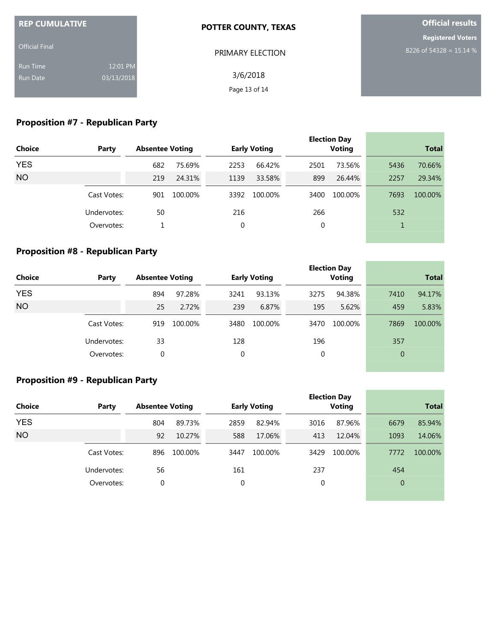| <b>REP CUMULATIVE</b> |            | <b>POTTER COUNTY, TEXAS</b> | <b>Official results</b>  |  |  |
|-----------------------|------------|-----------------------------|--------------------------|--|--|
|                       |            |                             | <b>Registered Voters</b> |  |  |
| <b>Official Final</b> |            | PRIMARY ELECTION            | 8226 of 54328 = 15.14 %  |  |  |
| <b>Run Time</b>       | 12:01 PM   |                             |                          |  |  |
| <b>Run Date</b>       | 03/13/2018 | 3/6/2018                    |                          |  |  |
|                       |            | Page 13 of 14               |                          |  |  |

# **Proposition #7 - Republican Party**

|               |             |     |                        |      |                     |      | <b>Election Day</b> |              |         |
|---------------|-------------|-----|------------------------|------|---------------------|------|---------------------|--------------|---------|
| <b>Choice</b> | Party       |     | <b>Absentee Voting</b> |      | <b>Early Voting</b> |      | <b>Voting</b>       | <b>Total</b> |         |
| <b>YES</b>    |             | 682 | 75.69%                 | 2253 | 66.42%              | 2501 | 73.56%              | 5436         | 70.66%  |
| <b>NO</b>     |             | 219 | 24.31%                 | 1139 | 33.58%              | 899  | 26.44%              | 2257         | 29.34%  |
|               | Cast Votes: | 901 | 100.00%                | 3392 | 100.00%             | 3400 | 100.00%             | 7693         | 100.00% |
|               | Undervotes: | 50  |                        | 216  |                     | 266  |                     | 532          |         |
|               | Overvotes:  |     |                        | 0    |                     | 0    |                     | 1            |         |
|               |             |     |                        |      |                     |      |                     |              |         |

### **Proposition #8 - Republican Party**

| <b>Choice</b> | Party       | <b>Absentee Voting</b> |         | <b>Early Voting</b> |         |             | <b>Election Day</b><br><b>Voting</b> | <b>Total</b> |         |
|---------------|-------------|------------------------|---------|---------------------|---------|-------------|--------------------------------------|--------------|---------|
| <b>YES</b>    |             | 894                    | 97.28%  | 3241                | 93.13%  | 3275        | 94.38%                               | 7410         | 94.17%  |
| <b>NO</b>     |             | 25                     | 2.72%   | 239                 | 6.87%   | 195         | 5.62%                                | 459          | 5.83%   |
|               | Cast Votes: | 919                    | 100.00% | 3480                | 100.00% | 3470        | 100.00%                              | 7869         | 100.00% |
|               | Undervotes: | 33                     |         | 128                 |         | 196         |                                      | 357          |         |
|               | Overvotes:  | $\mathbf{0}$           |         | $\mathbf 0$         |         | $\mathbf 0$ |                                      | $\theta$     |         |
|               |             |                        |         |                     |         |             |                                      |              |         |

the control of the control of the control of

and the control of the control of the control of

٠

### **Proposition #9 - Republican Party**

|               |             |                        |         |                     |         |      | <b>Election Day</b> |                |         |
|---------------|-------------|------------------------|---------|---------------------|---------|------|---------------------|----------------|---------|
| <b>Choice</b> | Party       | <b>Absentee Voting</b> |         | <b>Early Voting</b> |         |      | Voting              | <b>Total</b>   |         |
| <b>YES</b>    |             | 804                    | 89.73%  | 2859                | 82.94%  | 3016 | 87.96%              | 6679           | 85.94%  |
| <b>NO</b>     |             | 92                     | 10.27%  | 588                 | 17.06%  | 413  | 12.04%              | 1093           | 14.06%  |
|               | Cast Votes: | 896                    | 100.00% | 3447                | 100.00% | 3429 | 100.00%             | 7772           | 100.00% |
|               | Undervotes: | 56                     |         | 161                 |         | 237  |                     | 454            |         |
|               | Overvotes:  | 0                      |         | 0                   |         | 0    |                     | $\overline{0}$ |         |
|               |             |                        |         |                     |         |      |                     |                |         |